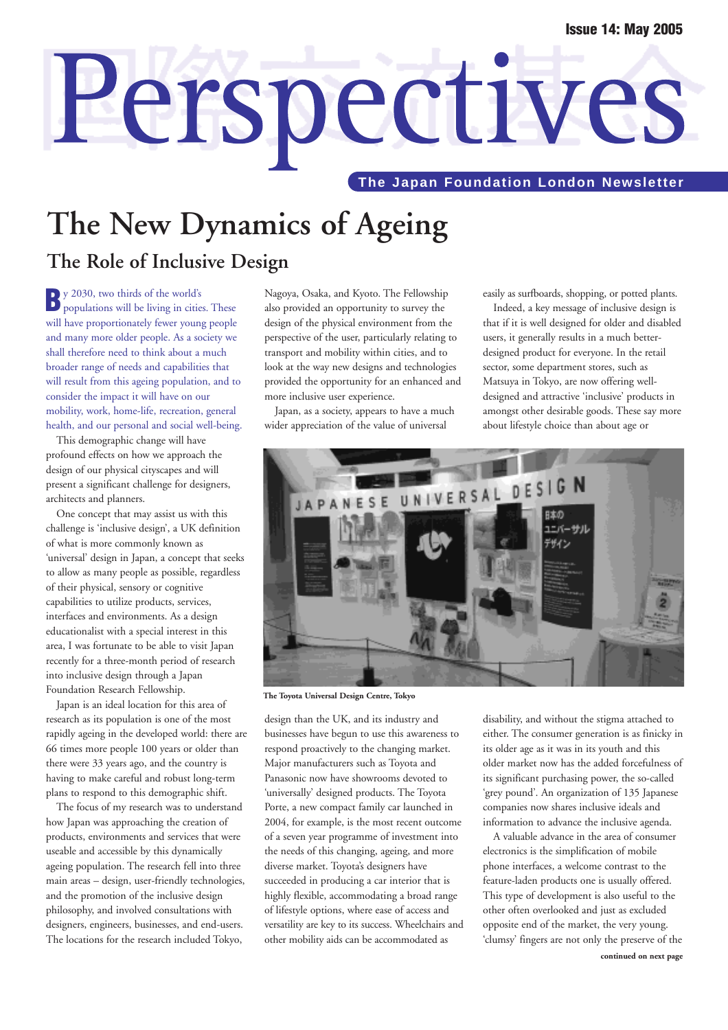# Perspectives **The Japan Foundation London Newsletter**

## **The New Dynamics of Ageing The Role of Inclusive Design**

**B**y 2030, two thirds of the world's populations will be living in cities. These will have proportionately fewer young people and many more older people. As a society we shall therefore need to think about a much broader range of needs and capabilities that will result from this ageing population, and to consider the impact it will have on our mobility, work, home-life, recreation, general health, and our personal and social well-being.

This demographic change will have profound effects on how we approach the design of our physical cityscapes and will present a significant challenge for designers, architects and planners.

One concept that may assist us with this challenge is 'inclusive design', a UK definition of what is more commonly known as 'universal' design in Japan, a concept that seeks to allow as many people as possible, regardless of their physical, sensory or cognitive capabilities to utilize products, services, interfaces and environments. As a design educationalist with a special interest in this area, I was fortunate to be able to visit Japan recently for a three-month period of research into inclusive design through a Japan Foundation Research Fellowship.

Japan is an ideal location for this area of research as its population is one of the most rapidly ageing in the developed world: there are 66 times more people 100 years or older than there were 33 years ago, and the country is having to make careful and robust long-term plans to respond to this demographic shift.

The focus of my research was to understand how Japan was approaching the creation of products, environments and services that were useable and accessible by this dynamically ageing population. The research fell into three main areas – design, user-friendly technologies, and the promotion of the inclusive design philosophy, and involved consultations with designers, engineers, businesses, and end-users. The locations for the research included Tokyo,

Nagoya, Osaka, and Kyoto. The Fellowship also provided an opportunity to survey the design of the physical environment from the perspective of the user, particularly relating to transport and mobility within cities, and to look at the way new designs and technologies provided the opportunity for an enhanced and more inclusive user experience.

Japan, as a society, appears to have a much wider appreciation of the value of universal

easily as surfboards, shopping, or potted plants.

Indeed, a key message of inclusive design is that if it is well designed for older and disabled users, it generally results in a much betterdesigned product for everyone. In the retail sector, some department stores, such as Matsuya in Tokyo, are now offering welldesigned and attractive 'inclusive' products in amongst other desirable goods. These say more about lifestyle choice than about age or



**The Toyota Universal Design Centre, Tokyo**

design than the UK, and its industry and businesses have begun to use this awareness to respond proactively to the changing market. Major manufacturers such as Toyota and Panasonic now have showrooms devoted to 'universally' designed products. The Toyota Porte, a new compact family car launched in 2004, for example, is the most recent outcome of a seven year programme of investment into the needs of this changing, ageing, and more diverse market. Toyota's designers have succeeded in producing a car interior that is highly flexible, accommodating a broad range of lifestyle options, where ease of access and versatility are key to its success. Wheelchairs and other mobility aids can be accommodated as

disability, and without the stigma attached to either. The consumer generation is as finicky in its older age as it was in its youth and this older market now has the added forcefulness of its significant purchasing power, the so-called 'grey pound'. An organization of 135 Japanese companies now shares inclusive ideals and information to advance the inclusive agenda.

A valuable advance in the area of consumer electronics is the simplification of mobile phone interfaces, a welcome contrast to the feature-laden products one is usually offered. This type of development is also useful to the other often overlooked and just as excluded opposite end of the market, the very young. 'clumsy' fingers are not only the preserve of the **continued on next page**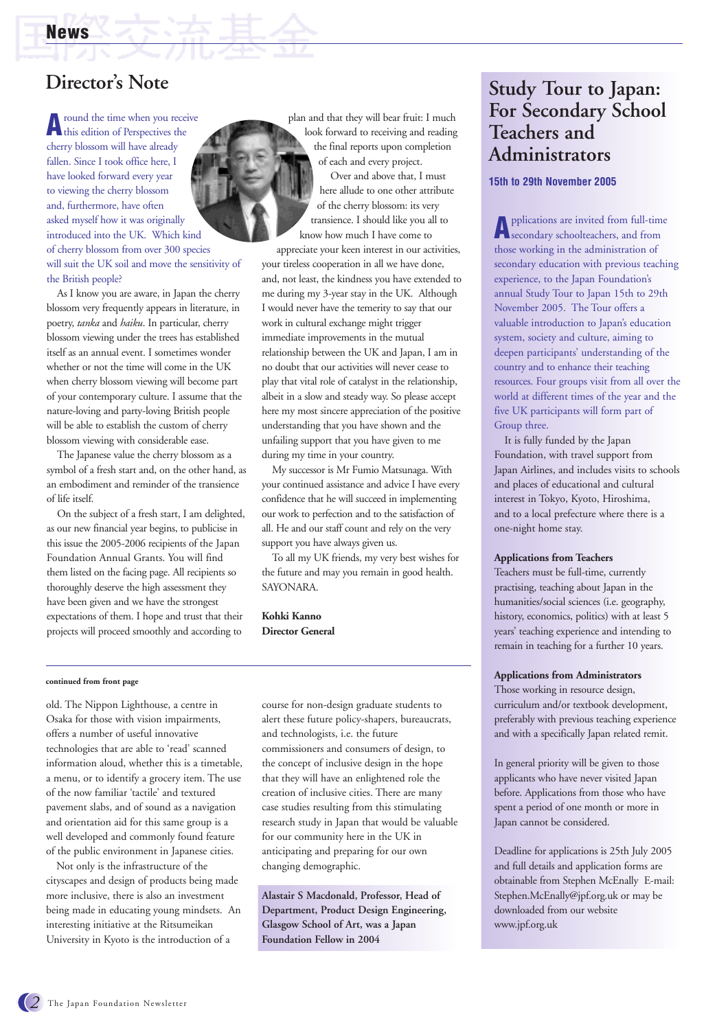**A**round the time when you receive this edition of Perspectives the cherry blossom will have already fallen. Since I took office here, I have looked forward every year to viewing the cherry blossom and, furthermore, have often asked myself how it was originally introduced into the UK. Which kind of cherry blossom from over 300 species will suit the UK soil and move the sensitivity of the British people?

As I know you are aware, in Japan the cherry blossom very frequently appears in literature, in poetry, *tanka* and *haiku*. In particular, cherry blossom viewing under the trees has established itself as an annual event. I sometimes wonder whether or not the time will come in the UK when cherry blossom viewing will become part of your contemporary culture. I assume that the nature-loving and party-loving British people will be able to establish the custom of cherry blossom viewing with considerable ease.

The Japanese value the cherry blossom as a symbol of a fresh start and, on the other hand, as an embodiment and reminder of the transience of life itself.

On the subject of a fresh start, I am delighted, as our new financial year begins, to publicise in this issue the 2005-2006 recipients of the Japan Foundation Annual Grants. You will find them listed on the facing page. All recipients so thoroughly deserve the high assessment they have been given and we have the strongest expectations of them. I hope and trust that their projects will proceed smoothly and according to

plan and that they will bear fruit: I much look forward to receiving and reading the final reports upon completion of each and every project.

Over and above that, I must here allude to one other attribute of the cherry blossom: its very transience. I should like you all to know how much I have come to

appreciate your keen interest in our activities, your tireless cooperation in all we have done, and, not least, the kindness you have extended to me during my 3-year stay in the UK. Although I would never have the temerity to say that our work in cultural exchange might trigger immediate improvements in the mutual relationship between the UK and Japan, I am in no doubt that our activities will never cease to play that vital role of catalyst in the relationship, albeit in a slow and steady way. So please accept here my most sincere appreciation of the positive understanding that you have shown and the unfailing support that you have given to me during my time in your country.

My successor is Mr Fumio Matsunaga. With your continued assistance and advice I have every confidence that he will succeed in implementing our work to perfection and to the satisfaction of all. He and our staff count and rely on the very support you have always given us.

To all my UK friends, my very best wishes for the future and may you remain in good health. SAYONARA.

**Kohki Kanno Director General**

#### **continued from front page**

old. The Nippon Lighthouse, a centre in Osaka for those with vision impairments, offers a number of useful innovative technologies that are able to 'read' scanned information aloud, whether this is a timetable, a menu, or to identify a grocery item. The use of the now familiar 'tactile' and textured pavement slabs, and of sound as a navigation and orientation aid for this same group is a well developed and commonly found feature of the public environment in Japanese cities.

Not only is the infrastructure of the cityscapes and design of products being made more inclusive, there is also an investment being made in educating young mindsets. An interesting initiative at the Ritsumeikan University in Kyoto is the introduction of a

course for non-design graduate students to alert these future policy-shapers, bureaucrats, and technologists, i.e. the future commissioners and consumers of design, to the concept of inclusive design in the hope that they will have an enlightened role the creation of inclusive cities. There are many case studies resulting from this stimulating research study in Japan that would be valuable for our community here in the UK in anticipating and preparing for our own changing demographic.

**Alastair S Macdonald, Professor, Head of Department, Product Design Engineering, Glasgow School of Art, was a Japan Foundation Fellow in 2004**

## **Director's Note Study Tour to Japan: For Secondary School Teachers and Administrators**

#### **15th to 29th November 2005**

**A**pplications are invited from full-time secondary schoolteachers, and from those working in the administration of secondary education with previous teaching experience, to the Japan Foundation's annual Study Tour to Japan 15th to 29th November 2005. The Tour offers a valuable introduction to Japan's education system, society and culture, aiming to deepen participants' understanding of the country and to enhance their teaching resources. Four groups visit from all over the world at different times of the year and the five UK participants will form part of Group three.

It is fully funded by the Japan Foundation, with travel support from Japan Airlines, and includes visits to schools and places of educational and cultural interest in Tokyo, Kyoto, Hiroshima, and to a local prefecture where there is a one-night home stay.

#### **Applications from Teachers**

Teachers must be full-time, currently practising, teaching about Japan in the humanities/social sciences (i.e. geography, history, economics, politics) with at least 5 years' teaching experience and intending to remain in teaching for a further 10 years.

#### **Applications from Administrators**

Those working in resource design, curriculum and/or textbook development, preferably with previous teaching experience and with a specifically Japan related remit.

In general priority will be given to those applicants who have never visited Japan before. Applications from those who have spent a period of one month or more in Japan cannot be considered.

Deadline for applications is 25th July 2005 and full details and application forms are obtainable from Stephen McEnally E-mail: Stephen.McEnally@jpf.org.uk or may be downloaded from our website www.jpf.org.uk

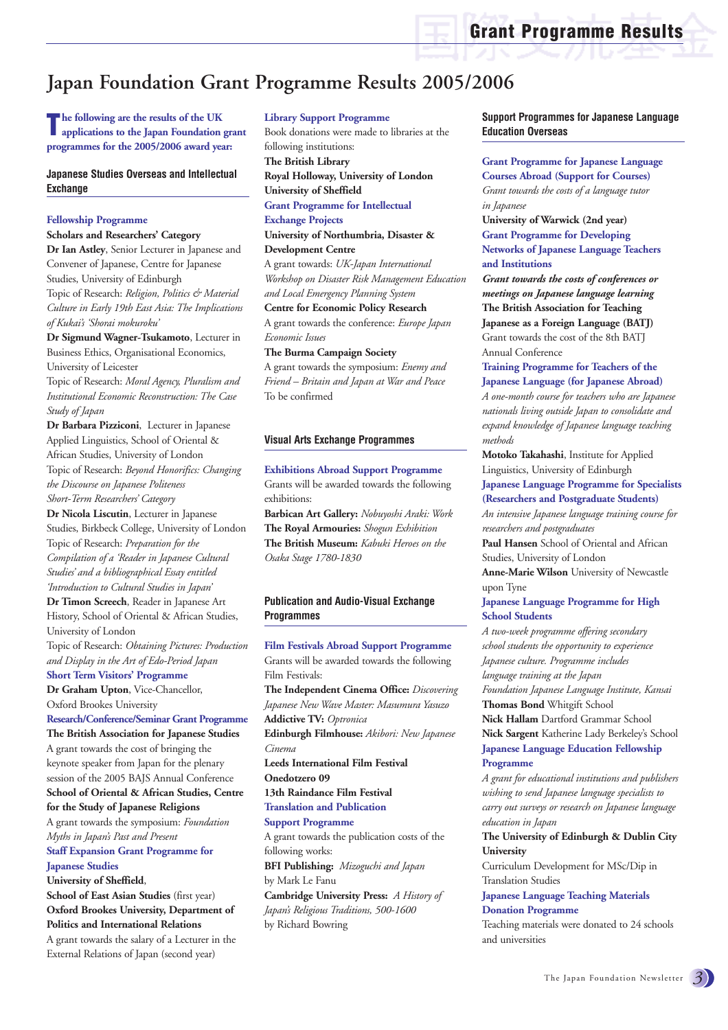## **Japan Foundation Grant Programme Results 2005/2006**

**The following are the results of the UK applications to the Japan Foundation grant programmes for the 2005/2006 award year:**

#### **Japanese Studies Overseas and Intellectual Exchange**

#### **Fellowship Programme**

#### **Scholars and Researchers' Category**

**Dr Ian Astley**, Senior Lecturer in Japanese and Convener of Japanese, Centre for Japanese Studies, University of Edinburgh Topic of Research: *Religion, Politics & Material Culture in Early 19th East Asia: The Implications of Kukai's 'Shorai mokuroku'*

**Dr Sigmund Wagner-Tsukamoto**, Lecturer in Business Ethics, Organisational Economics, University of Leicester

Topic of Research: *Moral Agency, Pluralism and Institutional Economic Reconstruction: The Case Study of Japan*

**Dr Barbara Pizziconi**, Lecturer in Japanese Applied Linguistics, School of Oriental & African Studies, University of London Topic of Research: *Beyond Honorifics: Changing the Discourse on Japanese Politeness Short-Term Researchers' Category*

**Dr Nicola Liscutin**, Lecturer in Japanese Studies, Birkbeck College, University of London Topic of Research: *Preparation for the Compilation of a 'Reader in Japanese Cultural Studies' and a bibliographical Essay entitled 'Introduction to Cultural Studies in Japan'*

**Dr Timon Screech**, Reader in Japanese Art History, School of Oriental & African Studies, University of London

Topic of Research: *Obtaining Pictures: Production and Display in the Art of Edo-Period Japan* **Short Term Visitors' Programme**

**Dr Graham Upton**, Vice-Chancellor,

Oxford Brookes University

#### **Research/Conference/Seminar Grant Programme**

**The British Association for Japanese Studies** A grant towards the cost of bringing the keynote speaker from Japan for the plenary session of the 2005 BAJS Annual Conference **School of Oriental & African Studies, Centre for the Study of Japanese Religions**

A grant towards the symposium: *Foundation Myths in Japan's Past and Present*

#### **Staff Expansion Grant Programme for Japanese Studies**

**University of Sheffield**,

**School of East Asian Studies** (first year) **Oxford Brookes University, Department of Politics and International Relations**

A grant towards the salary of a Lecturer in the External Relations of Japan (second year)

**Library Support Programme**

Book donations were made to libraries at the following institutions: **The British Library Royal Holloway, University of London**

**University of Sheffield Grant Programme for Intellectual Exchange Projects University of Northumbria, Disaster & Development Centre** A grant towards: *UK-Japan International*

*Workshop on Disaster Risk Management Education and Local Emergency Planning System*

**Centre for Economic Policy Research** A grant towards the conference: *Europe Japan Economic Issues*

**The Burma Campaign Society**

A grant towards the symposium: *Enemy and Friend – Britain and Japan at War and Peace* To be confirmed

#### **Visual Arts Exchange Programmes**

**Exhibitions Abroad Support Programme** Grants will be awarded towards the following exhibitions:

**Barbican Art Gallery:** *Nobuyoshi Araki: Work* **The Royal Armouries:** *Shogun Exhibition* **The British Museum:** *Kabuki Heroes on the Osaka Stage 1780-1830*

#### **Publication and Audio-Visual Exchange Programmes**

**Film Festivals Abroad Support Programme**

Grants will be awarded towards the following Film Festivals: **The Independent Cinema Office:** *Discovering Japanese New Wave Master: Masumura Yasuzo* **Addictive TV:** *Optronica* **Edinburgh Filmhouse:** *Akibori: New Japanese Cinema* **Leeds International Film Festival Onedotzero 09 13th Raindance Film Festival Translation and Publication Support Programme** A grant towards the publication costs of the following works: **BFI Publishing:** *Mizoguchi and Japan*  by Mark Le Fanu

**Cambridge University Press:** *A History of Japan's Religious Traditions, 500-1600* by Richard Bowring

**Support Programmes for Japanese Language Education Overseas**

**Grant Programme for Japanese Language Courses Abroad (Support for Courses)** *Grant towards the costs of a language tutor in Japanese*

**University of Warwick (2nd year) Grant Programme for Developing Networks of Japanese Language Teachers and Institutions**

*Grant towards the costs of conferences or meetings on Japanese language learning* **The British Association for Teaching Japanese as a Foreign Language (BATJ)** Grant towards the cost of the 8th BATJ Annual Conference

**Training Programme for Teachers of the Japanese Language (for Japanese Abroad)**  *A one-month course for teachers who are Japanese nationals living outside Japan to consolidate and expand knowledge of Japanese language teaching methods*

**Motoko Takahashi**, Institute for Applied Linguistics, University of Edinburgh **Japanese Language Programme for Specialists**

**(Researchers and Postgraduate Students)**

*An intensive Japanese language training course for researchers and postgraduates*

**Paul Hansen** School of Oriental and African Studies, University of London

**Anne-Marie Wilson** University of Newcastle upon Tyne

#### **Japanese Language Programme for High School Students**

*A two-week programme offering secondary school students the opportunity to experience Japanese culture. Programme includes language training at the Japan Foundation Japanese Language Institute, Kansai* **Thomas Bond** Whitgift School **Nick Hallam** Dartford Grammar School **Nick Sargent** Katherine Lady Berkeley's School **Japanese Language Education Fellowship Programme**

*A grant for educational institutions and publishers wishing to send Japanese language specialists to carry out surveys or research on Japanese language education in Japan*

**The University of Edinburgh & Dublin City University**

Curriculum Development for MSc/Dip in Translation Studies

**Japanese Language Teaching Materials Donation Programme**

Teaching materials were donated to 24 schools and universities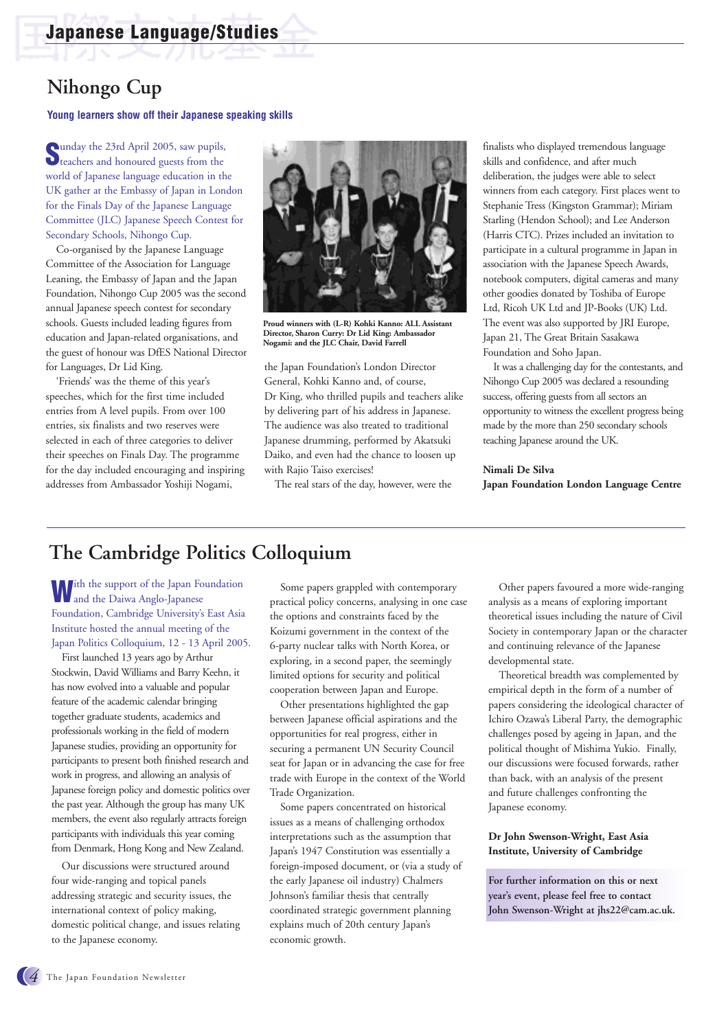## **Nihongo Cup**

**Young learners show off their Japanese speaking skills**

**S** unday the 23rd April 2005, saw pupils, teachers and honoured guests from the world of Japanese language education in the UK gather at the Embassy of Japan in London for the Finals Day of the Japanese Language Committee (JLC) Japanese Speech Contest for Secondary Schools, Nihongo Cup.

Co-organised by the Japanese Language Committee of the Association for Language Leaning, the Embassy of Japan and the Japan Foundation, Nihongo Cup 2005 was the second annual Japanese speech contest for secondary schools. Guests included leading figures from education and Japan-related organisations, and the guest of honour was DfES National Director for Languages, Dr Lid King.

'Friends' was the theme of this year's speeches, which for the first time included entries from A level pupils. From over 100 entries, six finalists and two reserves were selected in each of three categories to deliver their speeches on Finals Day. The programme for the day included encouraging and inspiring addresses from Ambassador Yoshiji Nogami,



**Proud winners with (L-R) Kohki Kanno: ALL Assistant Director, Sharon Curry: Dr Lid King: Ambassador Nogami: and the JLC Chair, David Farrell**

the Japan Foundation's London Director General, Kohki Kanno and, of course, Dr King, who thrilled pupils and teachers alike by delivering part of his address in Japanese. The audience was also treated to traditional Japanese drumming, performed by Akatsuki Daiko, and even had the chance to loosen up with Rajio Taiso exercises!

The real stars of the day, however, were the

finalists who displayed tremendous language skills and confidence, and after much deliberation, the judges were able to select winners from each category. First places went to Stephanie Tress (Kingston Grammar); Miriam Starling (Hendon School); and Lee Anderson (Harris CTC). Prizes included an invitation to participate in a cultural programme in Japan in association with the Japanese Speech Awards, notebook computers, digital cameras and many other goodies donated by Toshiba of Europe Ltd, Ricoh UK Ltd and JP-Books (UK) Ltd. The event was also supported by JRI Europe, Japan 21, The Great Britain Sasakawa Foundation and Soho Japan.

It was a challenging day for the contestants, and Nihongo Cup 2005 was declared a resounding success, offering guests from all sectors an opportunity to witness the excellent progress being made by the more than 250 secondary schools teaching Japanese around the UK.

#### **Nimali De Silva Japan Foundation London Language Centre**

## **The Cambridge Politics Colloquium**

**W**ith the support of the Japan Foundation and the Daiwa Anglo-Japanese Foundation, Cambridge University's East Asia Institute hosted the annual meeting of the Japan Politics Colloquium, 12 - 13 April 2005.

First launched 13 years ago by Arthur Stockwin, David Williams and Barry Keehn, it has now evolved into a valuable and popular feature of the academic calendar bringing together graduate students, academics and professionals working in the field of modern Japanese studies, providing an opportunity for participants to present both finished research and work in progress, and allowing an analysis of Japanese foreign policy and domestic politics over the past year. Although the group has many UK members, the event also regularly attracts foreign participants with individuals this year coming from Denmark, Hong Kong and New Zealand.

Our discussions were structured around four wide-ranging and topical panels addressing strategic and security issues, the international context of policy making, domestic political change, and issues relating to the Japanese economy.

Some papers grappled with contemporary practical policy concerns, analysing in one case the options and constraints faced by the Koizumi government in the context of the 6-party nuclear talks with North Korea, or exploring, in a second paper, the seemingly limited options for security and political cooperation between Japan and Europe.

Other presentations highlighted the gap between Japanese official aspirations and the opportunities for real progress, either in securing a permanent UN Security Council seat for Japan or in advancing the case for free trade with Europe in the context of the World Trade Organization.

Some papers concentrated on historical issues as a means of challenging orthodox interpretations such as the assumption that Japan's 1947 Constitution was essentially a foreign-imposed document, or (via a study of the early Japanese oil industry) Chalmers Johnson's familiar thesis that centrally coordinated strategic government planning explains much of 20th century Japan's economic growth.

Other papers favoured a more wide-ranging analysis as a means of exploring important theoretical issues including the nature of Civil Society in contemporary Japan or the character and continuing relevance of the Japanese developmental state.

Theoretical breadth was complemented by empirical depth in the form of a number of papers considering the ideological character of Ichiro Ozawa's Liberal Party, the demographic challenges posed by ageing in Japan, and the political thought of Mishima Yukio. Finally, our discussions were focused forwards, rather than back, with an analysis of the present and future challenges confronting the Japanese economy.

#### **Dr John Swenson-Wright, East Asia Institute, University of Cambridge**

**For further information on this or next year's event, please feel free to contact John Swenson-Wright at jhs22@cam.ac.uk.**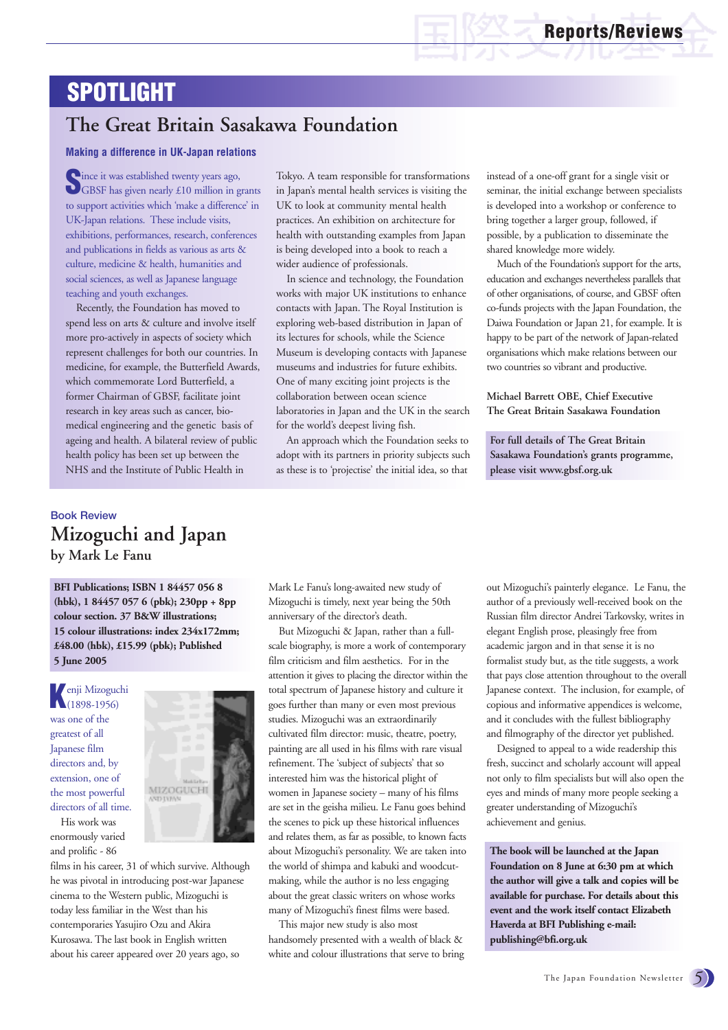## **SPOTLIGHT**

## **The Great Britain Sasakawa Foundation**

#### **Making a difference in UK-Japan relations**

Since it was established twenty years ago,<br>GBSF has given nearly £10 million in grants to support activities which 'make a difference' in UK-Japan relations. These include visits, exhibitions, performances, research, conferences and publications in fields as various as arts & culture, medicine & health, humanities and social sciences, as well as Japanese language teaching and youth exchanges.

Recently, the Foundation has moved to spend less on arts & culture and involve itself more pro-actively in aspects of society which represent challenges for both our countries. In medicine, for example, the Butterfield Awards, which commemorate Lord Butterfield, a former Chairman of GBSF, facilitate joint research in key areas such as cancer, biomedical engineering and the genetic basis of ageing and health. A bilateral review of public health policy has been set up between the NHS and the Institute of Public Health in

Tokyo. A team responsible for transformations in Japan's mental health services is visiting the UK to look at community mental health practices. An exhibition on architecture for health with outstanding examples from Japan is being developed into a book to reach a wider audience of professionals.

In science and technology, the Foundation works with major UK institutions to enhance contacts with Japan. The Royal Institution is exploring web-based distribution in Japan of its lectures for schools, while the Science Museum is developing contacts with Japanese museums and industries for future exhibits. One of many exciting joint projects is the collaboration between ocean science laboratories in Japan and the UK in the search for the world's deepest living fish.

An approach which the Foundation seeks to adopt with its partners in priority subjects such as these is to 'projectise' the initial idea, so that

instead of a one-off grant for a single visit or seminar, the initial exchange between specialists is developed into a workshop or conference to bring together a larger group, followed, if possible, by a publication to disseminate the shared knowledge more widely.

Much of the Foundation's support for the arts, education and exchanges nevertheless parallels that of other organisations, of course, and GBSF often co-funds projects with the Japan Foundation, the Daiwa Foundation or Japan 21, for example. It is happy to be part of the network of Japan-related organisations which make relations between our two countries so vibrant and productive.

**Michael Barrett OBE, Chief Executive The Great Britain Sasakawa Foundation**

**For full details of The Great Britain Sasakawa Foundation's grants programme, please visit www.gbsf.org.uk** 

### **Book Review Mizoguchi and Japan by Mark Le Fanu**

**BFI Publications; ISBN 1 84457 056 8 (hbk), 1 84457 057 6 (pbk); 230pp + 8pp colour section. 37 B&W illustrations; 15 colour illustrations: index 234x172mm; £48.00 (hbk), £15.99 (pbk); Published 5 June 2005**

**K**enji Mizoguchi<br>(1898-1956) was one of the greatest of all Japanese film directors and, by extension, one of the most powerful directors of all time.

His work was enormously varied and prolific - 86



films in his career, 31 of which survive. Although he was pivotal in introducing post-war Japanese cinema to the Western public, Mizoguchi is today less familiar in the West than his contemporaries Yasujiro Ozu and Akira Kurosawa. The last book in English written about his career appeared over 20 years ago, so

Mark Le Fanu's long-awaited new study of Mizoguchi is timely, next year being the 50th anniversary of the director's death.

But Mizoguchi & Japan, rather than a fullscale biography, is more a work of contemporary film criticism and film aesthetics. For in the attention it gives to placing the director within the total spectrum of Japanese history and culture it goes further than many or even most previous studies. Mizoguchi was an extraordinarily cultivated film director: music, theatre, poetry, painting are all used in his films with rare visual refinement. The 'subject of subjects' that so interested him was the historical plight of women in Japanese society – many of his films are set in the geisha milieu. Le Fanu goes behind the scenes to pick up these historical influences and relates them, as far as possible, to known facts about Mizoguchi's personality. We are taken into the world of shimpa and kabuki and woodcutmaking, while the author is no less engaging about the great classic writers on whose works many of Mizoguchi's finest films were based.

This major new study is also most handsomely presented with a wealth of black & white and colour illustrations that serve to bring out Mizoguchi's painterly elegance. Le Fanu, the author of a previously well-received book on the Russian film director Andrei Tarkovsky, writes in elegant English prose, pleasingly free from academic jargon and in that sense it is no formalist study but, as the title suggests, a work that pays close attention throughout to the overall Japanese context. The inclusion, for example, of copious and informative appendices is welcome, and it concludes with the fullest bibliography and filmography of the director yet published.

Designed to appeal to a wide readership this fresh, succinct and scholarly account will appeal not only to film specialists but will also open the eyes and minds of many more people seeking a greater understanding of Mizoguchi's achievement and genius.

**The book will be launched at the Japan Foundation on 8 June at 6:30 pm at which the author will give a talk and copies will be available for purchase. For details about this event and the work itself contact Elizabeth Haverda at BFI Publishing e-mail: publishing@bfi.org.uk**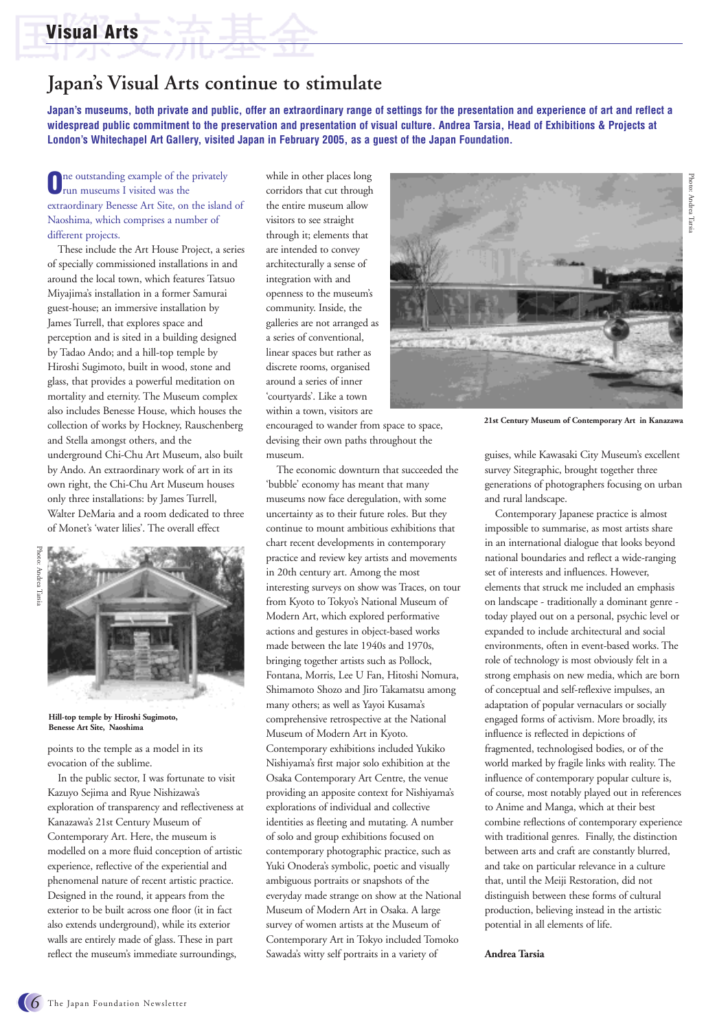## **Visual Arts**

## **Japan's Visual Arts continue to stimulate**

**Japan's museums, both private and public, offer an extraordinary range of settings for the presentation and experience of art and reflect a widespread public commitment to the preservation and presentation of visual culture. Andrea Tarsia, Head of Exhibitions & Projects at London's Whitechapel Art Gallery, visited Japan in February 2005, as a guest of the Japan Foundation.**

**O**ne outstanding example of the privately run museums I visited was the extraordinary Benesse Art Site, on the island of Naoshima, which comprises a number of different projects.

These include the Art House Project, a series of specially commissioned installations in and around the local town, which features Tatsuo Miyajima's installation in a former Samurai guest-house; an immersive installation by James Turrell, that explores space and perception and is sited in a building designed by Tadao Ando; and a hill-top temple by Hiroshi Sugimoto, built in wood, stone and glass, that provides a powerful meditation on mortality and eternity. The Museum complex also includes Benesse House, which houses the collection of works by Hockney, Rauschenberg and Stella amongst others, and the underground Chi-Chu Art Museum, also built by Ando. An extraordinary work of art in its own right, the Chi-Chu Art Museum houses only three installations: by James Turrell, Walter DeMaria and a room dedicated to three of Monet's 'water lilies'. The overall effect



**Hill-top temple by Hiroshi Sugimoto, Benesse Art Site, Naoshima**

points to the temple as a model in its evocation of the sublime.

In the public sector, I was fortunate to visit Kazuyo Sejima and Ryue Nishizawa's exploration of transparency and reflectiveness at Kanazawa's 21st Century Museum of Contemporary Art. Here, the museum is modelled on a more fluid conception of artistic experience, reflective of the experiential and phenomenal nature of recent artistic practice. Designed in the round, it appears from the exterior to be built across one floor (it in fact also extends underground), while its exterior walls are entirely made of glass. These in part reflect the museum's immediate surroundings,

while in other places long corridors that cut through the entire museum allow visitors to see straight through it; elements that are intended to convey architecturally a sense of integration with and openness to the museum's community. Inside, the galleries are not arranged as a series of conventional, linear spaces but rather as discrete rooms, organised around a series of inner 'courtyards'. Like a town within a town, visitors are

encouraged to wander from space to space, devising their own paths throughout the museum.

The economic downturn that succeeded the 'bubble' economy has meant that many museums now face deregulation, with some uncertainty as to their future roles. But they continue to mount ambitious exhibitions that chart recent developments in contemporary practice and review key artists and movements in 20th century art. Among the most interesting surveys on show was Traces, on tour from Kyoto to Tokyo's National Museum of Modern Art, which explored performative actions and gestures in object-based works made between the late 1940s and 1970s, bringing together artists such as Pollock, Fontana, Morris, Lee U Fan, Hitoshi Nomura, Shimamoto Shozo and Jiro Takamatsu among many others; as well as Yayoi Kusama's comprehensive retrospective at the National Museum of Modern Art in Kyoto. Contemporary exhibitions included Yukiko Nishiyama's first major solo exhibition at the Osaka Contemporary Art Centre, the venue providing an apposite context for Nishiyama's explorations of individual and collective identities as fleeting and mutating. A number of solo and group exhibitions focused on contemporary photographic practice, such as Yuki Onodera's symbolic, poetic and visually ambiguous portraits or snapshots of the everyday made strange on show at the National Museum of Modern Art in Osaka. A large survey of women artists at the Museum of Contemporary Art in Tokyo included Tomoko Sawada's witty self portraits in a variety of



**21st Century Museum of Contemporary Art in Kanazawa**

guises, while Kawasaki City Museum's excellent survey Sitegraphic, brought together three generations of photographers focusing on urban and rural landscape.

Contemporary Japanese practice is almost impossible to summarise, as most artists share in an international dialogue that looks beyond national boundaries and reflect a wide-ranging set of interests and influences. However, elements that struck me included an emphasis on landscape - traditionally a dominant genre today played out on a personal, psychic level or expanded to include architectural and social environments, often in event-based works. The role of technology is most obviously felt in a strong emphasis on new media, which are born of conceptual and self-reflexive impulses, an adaptation of popular vernaculars or socially engaged forms of activism. More broadly, its influence is reflected in depictions of fragmented, technologised bodies, or of the world marked by fragile links with reality. The influence of contemporary popular culture is, of course, most notably played out in references to Anime and Manga, which at their best combine reflections of contemporary experience with traditional genres. Finally, the distinction between arts and craft are constantly blurred, and take on particular relevance in a culture that, until the Meiji Restoration, did not distinguish between these forms of cultural production, believing instead in the artistic potential in all elements of life.

**Andrea Tarsia**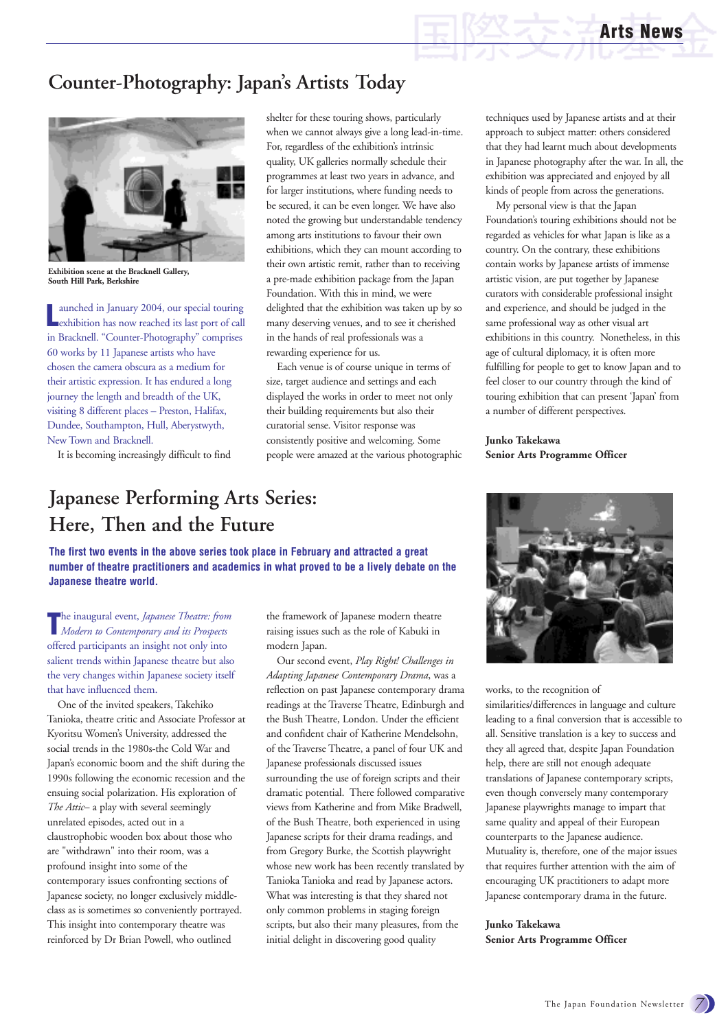## **Counter-Photography: Japan's Artists Today**



**Exhibition scene at the Bracknell Gallery, South Hill Park, Berkshire**

**L** aunched in January 2004, our special touring exhibition has now reached its last port of call in Bracknell. "Counter-Photography" comprises 60 works by 11 Japanese artists who have chosen the camera obscura as a medium for their artistic expression. It has endured a long journey the length and breadth of the UK, visiting 8 different places – Preston, Halifax, Dundee, Southampton, Hull, Aberystwyth, New Town and Bracknell.

It is becoming increasingly difficult to find

shelter for these touring shows, particularly when we cannot always give a long lead-in-time. For, regardless of the exhibition's intrinsic quality, UK galleries normally schedule their programmes at least two years in advance, and for larger institutions, where funding needs to be secured, it can be even longer. We have also noted the growing but understandable tendency among arts institutions to favour their own exhibitions, which they can mount according to their own artistic remit, rather than to receiving a pre-made exhibition package from the Japan Foundation. With this in mind, we were delighted that the exhibition was taken up by so many deserving venues, and to see it cherished in the hands of real professionals was a rewarding experience for us.

Each venue is of course unique in terms of size, target audience and settings and each displayed the works in order to meet not only their building requirements but also their curatorial sense. Visitor response was consistently positive and welcoming. Some people were amazed at the various photographic

## **Japanese Performing Arts Series: Here, Then and the Future**

**The first two events in the above series took place in February and attracted a great number of theatre practitioners and academics in what proved to be a lively debate on the Japanese theatre world.**

The inaugural event, *Japanese Theatre: fror*<br>*Modern to Contemporary and its Prospects* he inaugural event, *Japanese Theatre: from* offered participants an insight not only into salient trends within Japanese theatre but also the very changes within Japanese society itself that have influenced them.

One of the invited speakers, Takehiko Tanioka, theatre critic and Associate Professor at Kyoritsu Women's University, addressed the social trends in the 1980s-the Cold War and Japan's economic boom and the shift during the 1990s following the economic recession and the ensuing social polarization. His exploration of *The Attic*– a play with several seemingly unrelated episodes, acted out in a claustrophobic wooden box about those who are "withdrawn" into their room, was a profound insight into some of the contemporary issues confronting sections of Japanese society, no longer exclusively middleclass as is sometimes so conveniently portrayed. This insight into contemporary theatre was reinforced by Dr Brian Powell, who outlined

the framework of Japanese modern theatre raising issues such as the role of Kabuki in modern Japan.

Our second event, *Play Right! Challenges in Adapting Japanese Contemporary Drama*, was a reflection on past Japanese contemporary drama readings at the Traverse Theatre, Edinburgh and the Bush Theatre, London. Under the efficient and confident chair of Katherine Mendelsohn, of the Traverse Theatre, a panel of four UK and Japanese professionals discussed issues surrounding the use of foreign scripts and their dramatic potential. There followed comparative views from Katherine and from Mike Bradwell, of the Bush Theatre, both experienced in using Japanese scripts for their drama readings, and from Gregory Burke, the Scottish playwright whose new work has been recently translated by Tanioka Tanioka and read by Japanese actors. What was interesting is that they shared not only common problems in staging foreign scripts, but also their many pleasures, from the initial delight in discovering good quality

techniques used by Japanese artists and at their approach to subject matter: others considered that they had learnt much about developments in Japanese photography after the war. In all, the exhibition was appreciated and enjoyed by all kinds of people from across the generations.

My personal view is that the Japan Foundation's touring exhibitions should not be regarded as vehicles for what Japan is like as a country. On the contrary, these exhibitions contain works by Japanese artists of immense artistic vision, are put together by Japanese curators with considerable professional insight and experience, and should be judged in the same professional way as other visual art exhibitions in this country. Nonetheless, in this age of cultural diplomacy, it is often more fulfilling for people to get to know Japan and to feel closer to our country through the kind of touring exhibition that can present 'Japan' from a number of different perspectives.

**Junko Takekawa Senior Arts Programme Officer**



works, to the recognition of

similarities/differences in language and culture leading to a final conversion that is accessible to all. Sensitive translation is a key to success and they all agreed that, despite Japan Foundation help, there are still not enough adequate translations of Japanese contemporary scripts, even though conversely many contemporary Japanese playwrights manage to impart that same quality and appeal of their European counterparts to the Japanese audience. Mutuality is, therefore, one of the major issues that requires further attention with the aim of encouraging UK practitioners to adapt more Japanese contemporary drama in the future.

**Junko Takekawa Senior Arts Programme Officer**